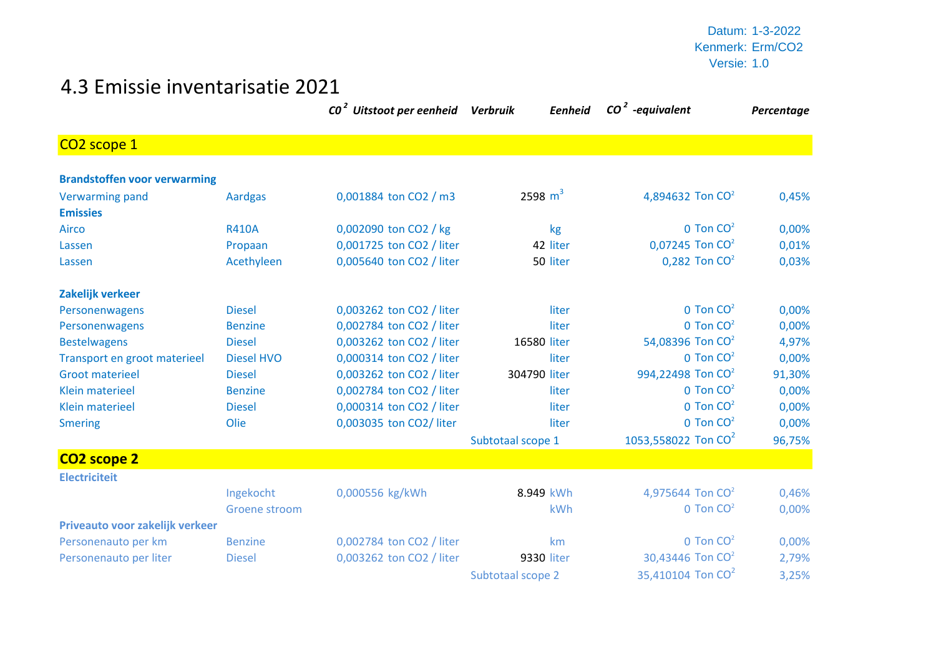Datum: 1-3-2022 Kenmerk: Erm/CO2 Versie: 1.0

## 4.3 Emissie inventarisatie 2021

|                                     |                   | CO <sup>2</sup> Uitstoot per eenheid Verbruik | <b>Eenheid</b>    | $CO2$ -equivalent               | Percentage |
|-------------------------------------|-------------------|-----------------------------------------------|-------------------|---------------------------------|------------|
| CO <sub>2</sub> scope 1             |                   |                                               |                   |                                 |            |
| <b>Brandstoffen voor verwarming</b> |                   |                                               |                   |                                 |            |
| <b>Verwarming pand</b>              | <b>Aardgas</b>    | 0,001884 ton CO2 / m3                         | 2598 $m^3$        | 4,894632 Ton CO <sup>2</sup>    | 0,45%      |
| <b>Emissies</b>                     |                   |                                               |                   |                                 |            |
| Airco                               | <b>R410A</b>      | 0,002090 ton CO2 / kg                         | kg                | $0$ Ton $CO2$                   | 0,00%      |
| Lassen                              | Propaan           | 0,001725 ton CO2 / liter                      | 42 liter          | 0,07245 Ton $CO2$               | 0,01%      |
| Lassen                              | Acethyleen        | 0,005640 ton CO2 / liter                      | 50 liter          | $0,282$ Ton $CO2$               | 0,03%      |
| Zakelijk verkeer                    |                   |                                               |                   |                                 |            |
| Personenwagens                      | <b>Diesel</b>     | 0,003262 ton CO2 / liter                      | liter             | $0$ Ton $CO2$                   | 0,00%      |
| Personenwagens                      | <b>Benzine</b>    | 0,002784 ton CO2 / liter                      | liter             | $0$ Ton $CO2$                   | 0,00%      |
| <b>Bestelwagens</b>                 | <b>Diesel</b>     | 0,003262 ton CO2 / liter                      | 16580 liter       | 54,08396 Ton CO <sup>2</sup>    | 4,97%      |
| Transport en groot materieel        | <b>Diesel HVO</b> | 0,000314 ton CO2 / liter                      | liter             | $0$ Ton $CO2$                   | 0,00%      |
| <b>Groot materieel</b>              | <b>Diesel</b>     | 0,003262 ton CO2 / liter                      | 304790 liter      | 994,22498 Ton CO <sup>2</sup>   | 91,30%     |
| <b>Klein materieel</b>              | <b>Benzine</b>    | 0,002784 ton CO2 / liter                      | liter             | $0$ Ton $CO2$                   | 0,00%      |
| <b>Klein materieel</b>              | <b>Diesel</b>     | 0,000314 ton CO2 / liter                      | liter             | $0$ Ton $CO2$                   | 0,00%      |
| <b>Smering</b>                      | Olie              | 0,003035 ton CO2/ liter                       | liter             | $0$ Ton $CO2$                   | 0,00%      |
|                                     |                   |                                               | Subtotaal scope 1 | 1053,558022 Ton CO <sup>2</sup> | 96,75%     |
| CO <sub>2</sub> scope 2             |                   |                                               |                   |                                 |            |
| <b>Electriciteit</b>                |                   |                                               |                   |                                 |            |
|                                     | Ingekocht         | 0,000556 kg/kWh                               | 8.949 kWh         | 4,975644 Ton $CO2$              | 0,46%      |
|                                     | Groene stroom     |                                               | kWh               | $0$ Ton $CO2$                   | 0,00%      |
| Priveauto voor zakelijk verkeer     |                   |                                               |                   |                                 |            |
| Personenauto per km                 | <b>Benzine</b>    | 0,002784 ton CO2 / liter                      | km                | $0$ Ton $CO2$                   | 0,00%      |
| Personenauto per liter              | <b>Diesel</b>     | 0,003262 ton CO2 / liter                      | 9330 liter        | 30,43446 Ton CO <sup>2</sup>    | 2,79%      |
|                                     |                   |                                               | Subtotaal scope 2 | 35,410104 Ton CO <sup>2</sup>   | 3,25%      |